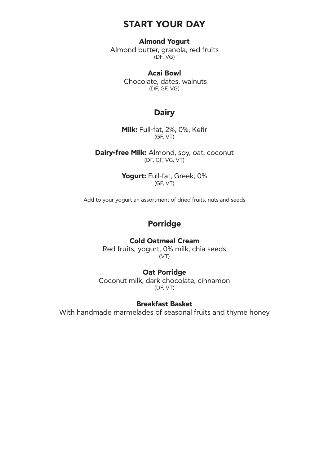## **START YOUR DAY**

#### **Almond Υogurt**

Almond butter, granola, red fruits (DF, VG)

### **Acai Bowl**

 Chocolate, dates, walnuts (DF, GF, VG)

### **Dairy**

**Milk:** Full-fat, 2%, 0%, Kefir (GF, VT)

**Dairy-free Milk:** Almond, soy, oat, coconut (DF, GF, VG, VT)

> **Yogurt:** Full-fat, Greek, 0% (GF, VT)

Add to your yogurt an assortment of dried fruits, nuts and seeds

## **Porridge**

### **Cold Oatmeal Cream**

Red fruits, yogurt, 0% milk, chia seeds (VT)

#### **Oat Porridge**

Coconut milk, dark chocolate, cinnamon (DF, VT)

#### **Breakfast Basket**

With handmade marmelades of seasonal fruits and thyme honey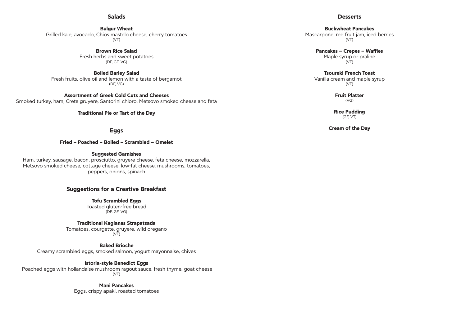### **Salads**

#### **Bulgur Wheat**  Grilled kale, avocado, Chios mastelo cheese, cherry tomatoes (VT)

**Brown Rice Salad**  Fresh herbs and sweet potatoes (DF, GF, VG)

**Boiled Barley Salad**  Fresh fruits, olive oil and lemon with a taste of bergamot (DF, VG)

**Assortment of Greek Cold Cuts and Cheeses**  Smoked turkey, ham, Crete gruyere, Santorini chloro, Metsovo smoked cheese and feta

### **Traditional Pie or Tart of the Day**

Tomatoes, courgette, gruyere, wild oregano  $(VT)$ 

### **Eggs**

**Fried – Poached – Boiled – Scrambled – Omelet**

### **Suggested Garnishes**

Ham, turkey, sausage, bacon, prosciutto, gruyere cheese, feta cheese, mozzarella, Metsovo smoked cheese, cottage cheese, low-fat cheese, mushrooms, tomatoes, peppers, onions, spinach

**Pancakes – Crepes – Waffles**  Maple syrup or praline  $(VT)$ 

### **Suggestions for a Creative Breakfast**

**Tofu Scrambled Eggs**  Toasted gluten-free bread (DF, GF, VG)

**Traditional Kagianas Strapatsada** 

**Baked Brioche** 

Creamy scrambled eggs, smoked salmon, yogurt mayonnaise, chives

### **Istoria-style Benedict Eggs**

 Poached eggs with hollandaise mushroom ragout sauce, fresh thyme, goat cheese (VT)

> **Mani Pancakes** Eggs, crispy apaki, roasted tomatoes

## **Desserts**

**Buckwheat Pancakes**  Mascarpone, red fruit jam, iced berries (VT)

**Tsoureki French Toast**  Vanilla cream and maple syrup (VT)

> **Fruit Platter** (VG)

**Rice Pudding**  (GF, VT)

**Cream of the Day**